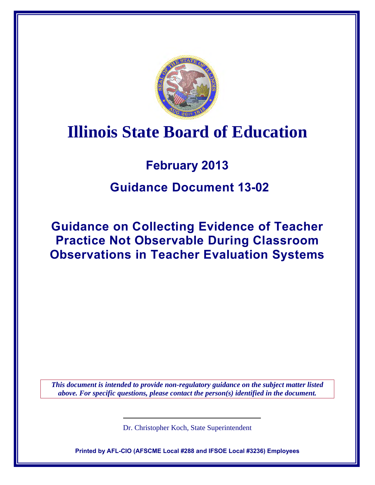

# **Illinois State Board of Education**

## **February 2013**

### **Guidance Document 13-02**

**Guidance on Collecting Evidence of Teacher Practice Not Observable During Classroom Observations in Teacher Evaluation Systems**

*This document is intended to provide non-regulatory guidance on the subject matter listed above. For specific questions, please contact the person(s) identified in the document.*

Dr. Christopher Koch, State Superintendent

**Printed by AFL-CIO (AFSCME Local #288 and IFSOE Local #3236) Employees**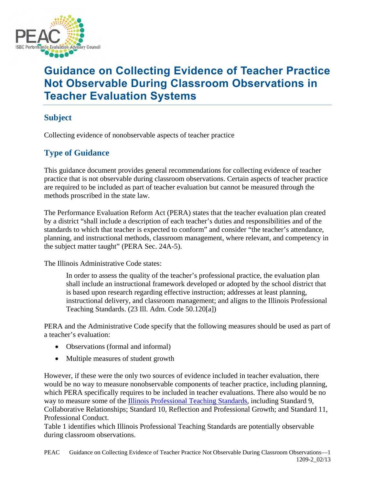

### **Guidance on Collecting Evidence of Teacher Practice Not Observable During Classroom Observations in Teacher Evaluation Systems**

### **Subject**

Collecting evidence of nonobservable aspects of teacher practice

### **Type of Guidance**

This guidance document provides general recommendations for collecting evidence of teacher practice that is not observable during classroom observations. Certain aspects of teacher practice are required to be included as part of teacher evaluation but cannot be measured through the methods proscribed in the state law.

The Performance Evaluation Reform Act (PERA) states that the teacher evaluation plan created by a district "shall include a description of each teacher's duties and responsibilities and of the standards to which that teacher is expected to conform" and consider "the teacher's attendance, planning, and instructional methods, classroom management, where relevant, and competency in the subject matter taught" (PERA Sec. 24A-5).

The Illinois Administrative Code states:

In order to assess the quality of the teacher's professional practice, the evaluation plan shall include an instructional framework developed or adopted by the school district that is based upon research regarding effective instruction; addresses at least planning, instructional delivery, and classroom management; and aligns to the Illinois Professional Teaching Standards. (23 Ill. Adm. Code 50.120[a])

PERA and the Administrative Code specify that the following measures should be used as part of a teacher's evaluation:

- Observations (formal and informal)
- Multiple measures of student growth

However, if these were the only two sources of evidence included in teacher evaluation, there would be no way to measure nonobservable components of teacher practice, including planning, which PERA specifically requires to be included in teacher evaluations. There also would be no way to measure some of the [Illinois Professional Teaching Standards,](http://www.isbe.net/profprep/pdfs/prfstandards.pdf) including Standard 9, Collaborative Relationships; Standard 10, Reflection and Professional Growth; and Standard 11, Professional Conduct.

Table 1 identifies which Illinois Professional Teaching Standards are potentially observable during classroom observations.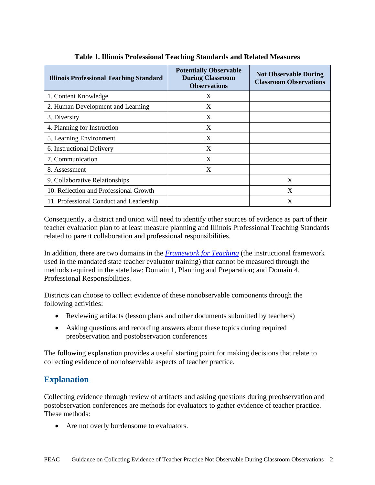| <b>Illinois Professional Teaching Standard</b> | <b>Potentially Observable</b><br><b>During Classroom</b><br><b>Observations</b> | <b>Not Observable During</b><br><b>Classroom Observations</b> |
|------------------------------------------------|---------------------------------------------------------------------------------|---------------------------------------------------------------|
| 1. Content Knowledge                           | X                                                                               |                                                               |
| 2. Human Development and Learning              | X                                                                               |                                                               |
| 3. Diversity                                   | X                                                                               |                                                               |
| 4. Planning for Instruction                    | X                                                                               |                                                               |
| 5. Learning Environment                        | X                                                                               |                                                               |
| 6. Instructional Delivery                      | X                                                                               |                                                               |
| 7. Communication                               | X                                                                               |                                                               |
| 8. Assessment                                  | X                                                                               |                                                               |
| 9. Collaborative Relationships                 |                                                                                 | X                                                             |
| 10. Reflection and Professional Growth         |                                                                                 | X                                                             |
| 11. Professional Conduct and Leadership        |                                                                                 | X                                                             |

|  | Table 1. Illinois Professional Teaching Standards and Related Measures |  |  |
|--|------------------------------------------------------------------------|--|--|
|  |                                                                        |  |  |

Consequently, a district and union will need to identify other sources of evidence as part of their teacher evaluation plan to at least measure planning and Illinois Professional Teaching Standards related to parent collaboration and professional responsibilities.

In addition, there are two domains in the *[Framework for Teaching](http://www.danielsongroup.org/article.aspx?page=frameworkforteaching)* (the instructional framework used in the mandated state teacher evaluator training) that cannot be measured through the methods required in the state law: Domain 1, Planning and Preparation; and Domain 4, Professional Responsibilities.

Districts can choose to collect evidence of these nonobservable components through the following activities:

- Reviewing artifacts (lesson plans and other documents submitted by teachers)
- Asking questions and recording answers about these topics during required preobservation and postobservation conferences

The following explanation provides a useful starting point for making decisions that relate to collecting evidence of nonobservable aspects of teacher practice.

#### **Explanation**

Collecting evidence through review of artifacts and asking questions during preobservation and postobservation conferences are methods for evaluators to gather evidence of teacher practice. These methods:

• Are not overly burdensome to evaluators.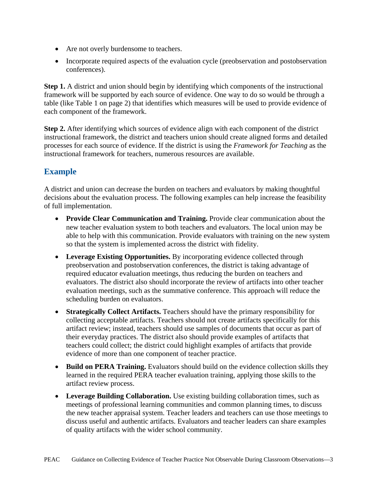- Are not overly burdensome to teachers.
- Incorporate required aspects of the evaluation cycle (preobservation and postobservation conferences).

**Step 1.** A district and union should begin by identifying which components of the instructional framework will be supported by each source of evidence. One way to do so would be through a table (like Table 1 on page 2) that identifies which measures will be used to provide evidence of each component of the framework.

**Step 2.** After identifying which sources of evidence align with each component of the district instructional framework, the district and teachers union should create aligned forms and detailed processes for each source of evidence. If the district is using the *Framework for Teaching* as the instructional framework for teachers, numerous resources are available.

### **Example**

A district and union can decrease the burden on teachers and evaluators by making thoughtful decisions about the evaluation process. The following examples can help increase the feasibility of full implementation.

- **Provide Clear Communication and Training.** Provide clear communication about the new teacher evaluation system to both teachers and evaluators. The local union may be able to help with this communication. Provide evaluators with training on the new system so that the system is implemented across the district with fidelity.
- **Leverage Existing Opportunities.** By incorporating evidence collected through preobservation and postobservation conferences, the district is taking advantage of required educator evaluation meetings, thus reducing the burden on teachers and evaluators. The district also should incorporate the review of artifacts into other teacher evaluation meetings, such as the summative conference. This approach will reduce the scheduling burden on evaluators.
- **Strategically Collect Artifacts.** Teachers should have the primary responsibility for collecting acceptable artifacts. Teachers should not create artifacts specifically for this artifact review; instead, teachers should use samples of documents that occur as part of their everyday practices. The district also should provide examples of artifacts that teachers could collect; the district could highlight examples of artifacts that provide evidence of more than one component of teacher practice.
- **Build on PERA Training.** Evaluators should build on the evidence collection skills they learned in the required PERA teacher evaluation training, applying those skills to the artifact review process.
- **Leverage Building Collaboration.** Use existing building collaboration times, such as meetings of professional learning communities and common planning times, to discuss the new teacher appraisal system. Teacher leaders and teachers can use those meetings to discuss useful and authentic artifacts. Evaluators and teacher leaders can share examples of quality artifacts with the wider school community.